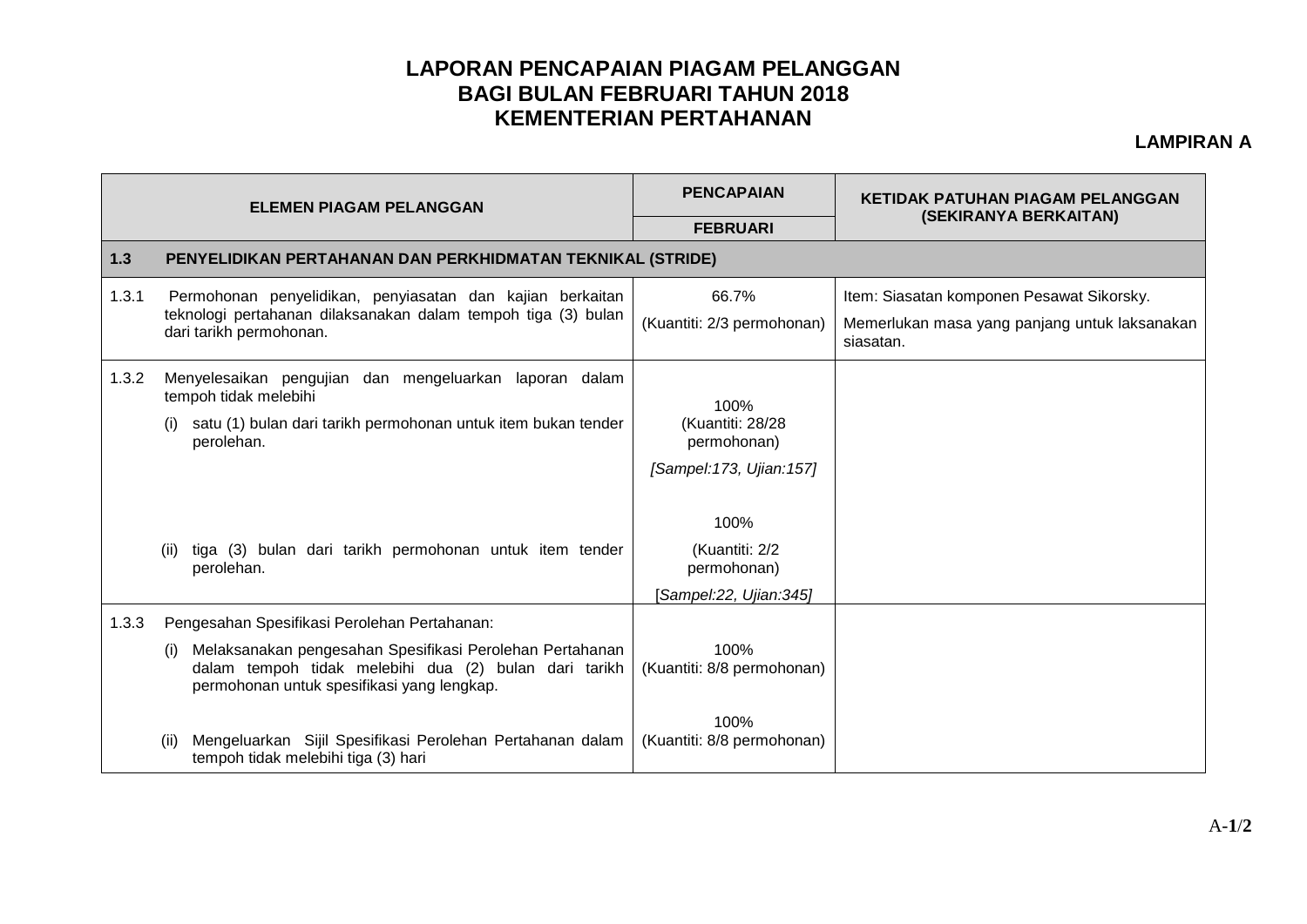## **LAPORAN PENCAPAIAN PIAGAM PELANGGAN BAGI BULAN FEBRUARI TAHUN 2018 KEMENTERIAN PERTAHANAN**

## **LAMPIRAN A**

| <b>ELEMEN PIAGAM PELANGGAN</b> |                                                                                                                                                                        | <b>PENCAPAIAN</b>                       | KETIDAK PATUHAN PIAGAM PELANGGAN<br>(SEKIRANYA BERKAITAN)  |  |  |  |
|--------------------------------|------------------------------------------------------------------------------------------------------------------------------------------------------------------------|-----------------------------------------|------------------------------------------------------------|--|--|--|
|                                |                                                                                                                                                                        | <b>FEBRUARI</b>                         |                                                            |  |  |  |
| $1.3$                          | PENYELIDIKAN PERTAHANAN DAN PERKHIDMATAN TEKNIKAL (STRIDE)                                                                                                             |                                         |                                                            |  |  |  |
| 1.3.1                          | Permohonan penyelidikan, penyiasatan dan kajian berkaitan<br>teknologi pertahanan dilaksanakan dalam tempoh tiga (3) bulan<br>dari tarikh permohonan.                  | 66.7%                                   | Item: Siasatan komponen Pesawat Sikorsky.                  |  |  |  |
|                                |                                                                                                                                                                        | (Kuantiti: 2/3 permohonan)              | Memerlukan masa yang panjang untuk laksanakan<br>siasatan. |  |  |  |
| 1.3.2                          | Menyelesaikan pengujian dan mengeluarkan laporan dalam<br>tempoh tidak melebihi                                                                                        | 100%<br>(Kuantiti: 28/28<br>permohonan) |                                                            |  |  |  |
|                                | satu (1) bulan dari tarikh permohonan untuk item bukan tender<br>perolehan.                                                                                            |                                         |                                                            |  |  |  |
|                                |                                                                                                                                                                        | [Sampel:173, Ujian:157]                 |                                                            |  |  |  |
|                                |                                                                                                                                                                        | 100%                                    |                                                            |  |  |  |
|                                | tiga (3) bulan dari tarikh permohonan untuk item tender<br>(ii)<br>perolehan.                                                                                          | (Kuantiti: 2/2<br>permohonan)           |                                                            |  |  |  |
|                                |                                                                                                                                                                        | Sampel:22, Ujian:345]                   |                                                            |  |  |  |
| 1.3.3                          | Pengesahan Spesifikasi Perolehan Pertahanan:                                                                                                                           |                                         |                                                            |  |  |  |
|                                | Melaksanakan pengesahan Spesifikasi Perolehan Pertahanan<br>(i)<br>dalam tempoh tidak melebihi dua (2) bulan dari tarikh<br>permohonan untuk spesifikasi yang lengkap. | 100%<br>(Kuantiti: 8/8 permohonan)      |                                                            |  |  |  |
|                                | Mengeluarkan Sijil Spesifikasi Perolehan Pertahanan dalam<br>tempoh tidak melebihi tiga (3) hari                                                                       | 100%<br>(Kuantiti: 8/8 permohonan)      |                                                            |  |  |  |